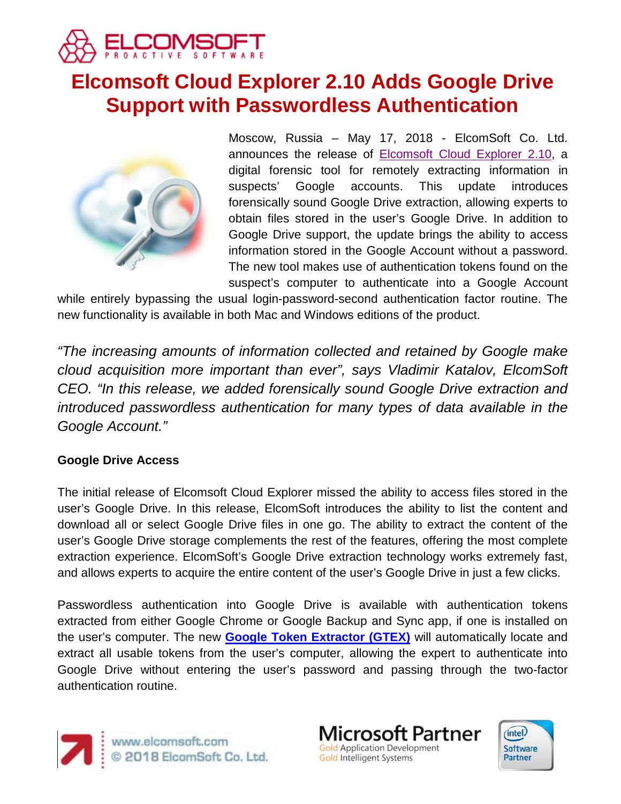

# **Elcomsoft Cloud Explorer 2.10 Adds Google Drive Support with Passwordless Authentication**



Moscow, Russia – May 17, 2018 - ElcomSoft Co. Ltd. announces the release of [Elcomsoft Cloud Explorer 2.10,](https://www.elcomsoft.com/ecx.html) a digital forensic tool for remotely extracting information in suspects' Google accounts. This update introduces forensically sound Google Drive extraction, allowing experts to obtain files stored in the user's Google Drive. In addition to Google Drive support, the update brings the ability to access information stored in the Google Account without a password. The new tool makes use of authentication tokens found on the suspect's computer to authenticate into a Google Account

while entirely bypassing the usual login-password-second authentication factor routine. The new functionality is available in both Mac and Windows editions of the product.

*"The increasing amounts of information collected and retained by Google make cloud acquisition more important than ever", says Vladimir Katalov, ElcomSoft CEO. "In this release, we added forensically sound Google Drive extraction and introduced passwordless authentication for many types of data available in the Google Account."*

#### **Google Drive Access**

The initial release of Elcomsoft Cloud Explorer missed the ability to access files stored in the user's Google Drive. In this release, ElcomSoft introduces the ability to list the content and download all or select Google Drive files in one go. The ability to extract the content of the user's Google Drive storage complements the rest of the features, offering the most complete extraction experience. ElcomSoft's Google Drive extraction technology works extremely fast, and allows experts to acquire the entire content of the user's Google Drive in just a few clicks.

Passwordless authentication into Google Drive is available with authentication tokens extracted from either Google Chrome or Google Backup and Sync app, if one is installed on the user's computer. The new **[Google Token Extractor \(GTEX\)](https://www.elcomsoft.com/ecx.html)** will automatically locate and extract all usable tokens from the user's computer, allowing the expert to authenticate into Google Drive without entering the user's password and passing through the two-factor authentication routine.



www.elcomsoft.com<br>© 2018 ElcomSoft Co. Ltd.



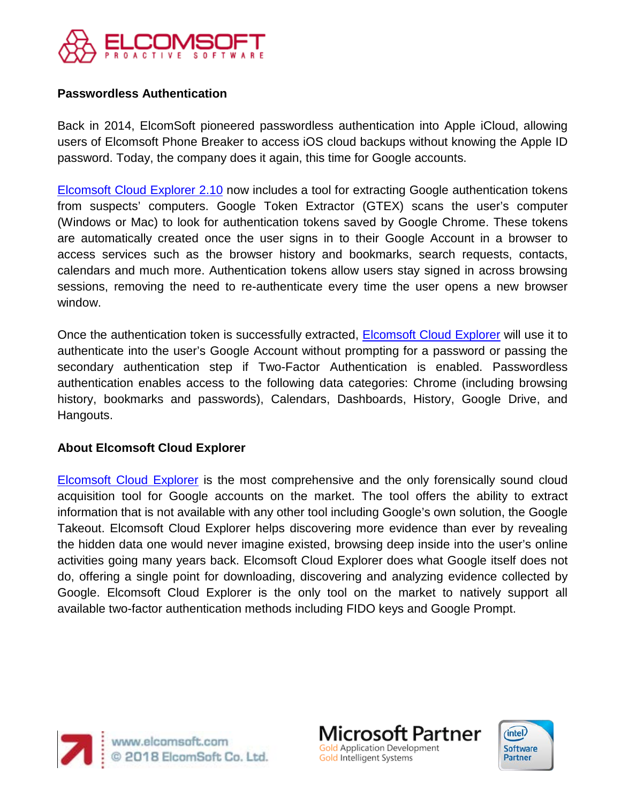

## **Passwordless Authentication**

Back in 2014, ElcomSoft pioneered passwordless authentication into Apple iCloud, allowing users of Elcomsoft Phone Breaker to access iOS cloud backups without knowing the Apple ID password. Today, the company does it again, this time for Google accounts.

[Elcomsoft Cloud Explorer 2.10](https://www.elcomsoft.com/ecx.html) now includes a tool for extracting Google authentication tokens from suspects' computers. Google Token Extractor (GTEX) scans the user's computer (Windows or Mac) to look for authentication tokens saved by Google Chrome. These tokens are automatically created once the user signs in to their Google Account in a browser to access services such as the browser history and bookmarks, search requests, contacts, calendars and much more. Authentication tokens allow users stay signed in across browsing sessions, removing the need to re-authenticate every time the user opens a new browser window.

Once the authentication token is successfully extracted, [Elcomsoft Cloud Explorer](https://www.elcomsoft.com/ecx.html) will use it to authenticate into the user's Google Account without prompting for a password or passing the secondary authentication step if Two-Factor Authentication is enabled. Passwordless authentication enables access to the following data categories: Chrome (including browsing history, bookmarks and passwords), Calendars, Dashboards, History, Google Drive, and Hangouts.

#### **About Elcomsoft Cloud Explorer**

[Elcomsoft Cloud Explorer](https://www.elcomsoft.com/ecx.html) is the most comprehensive and the only forensically sound cloud acquisition tool for Google accounts on the market. The tool offers the ability to extract information that is not available with any other tool including Google's own solution, the Google Takeout. Elcomsoft Cloud Explorer helps discovering more evidence than ever by revealing the hidden data one would never imagine existed, browsing deep inside into the user's online activities going many years back. Elcomsoft Cloud Explorer does what Google itself does not do, offering a single point for downloading, discovering and analyzing evidence collected by Google. Elcomsoft Cloud Explorer is the only tool on the market to natively support all available two-factor authentication methods including FIDO keys and Google Prompt.



Microsoft Partner **Gold Application Development** Gold Intelligent Systems